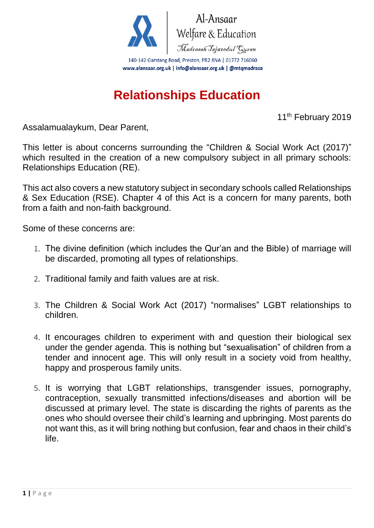

Al-Ansaar Al-Ansaar<br>Welfare & Education<br>*Madrasah Tajweedul Guran* 

140-142 Garstang Road, Preston, PR2 8NA | 01772 716060 www.alansaar.org.uk | info@alansaar.org.uk | @mtqmadrasa

## **Relationships Education**

11<sup>th</sup> February 2019

Assalamualaykum, Dear Parent,

This letter is about concerns surrounding the "Children & Social Work Act (2017)" which resulted in the creation of a new compulsory subject in all primary schools: Relationships Education (RE).

This act also covers a new statutory subject in secondary schools called Relationships & Sex Education (RSE). Chapter 4 of this Act is a concern for many parents, both from a faith and non-faith background.

Some of these concerns are:

- 1. The divine definition (which includes the Qur'an and the Bible) of marriage will be discarded, promoting all types of relationships.
- 2. Traditional family and faith values are at risk.
- 3. The Children & Social Work Act (2017) "normalises" LGBT relationships to children.
- 4. It encourages children to experiment with and question their biological sex under the gender agenda. This is nothing but "sexualisation" of children from a tender and innocent age. This will only result in a society void from healthy, happy and prosperous family units.
- 5. It is worrying that LGBT relationships, transgender issues, pornography, contraception, sexually transmitted infections/diseases and abortion will be discussed at primary level. The state is discarding the rights of parents as the ones who should oversee their child's learning and upbringing. Most parents do not want this, as it will bring nothing but confusion, fear and chaos in their child's life.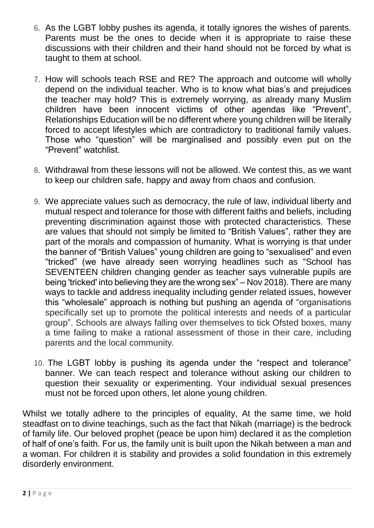- 6. As the LGBT lobby pushes its agenda, it totally ignores the wishes of parents. Parents must be the ones to decide when it is appropriate to raise these discussions with their children and their hand should not be forced by what is taught to them at school.
- 7. How will schools teach RSE and RE? The approach and outcome will wholly depend on the individual teacher. Who is to know what bias's and prejudices the teacher may hold? This is extremely worrying, as already many Muslim children have been innocent victims of other agendas like "Prevent", Relationships Education will be no different where young children will be literally forced to accept lifestyles which are contradictory to traditional family values. Those who "question" will be marginalised and possibly even put on the "Prevent" watchlist.
- 8. Withdrawal from these lessons will not be allowed. We contest this, as we want to keep our children safe, happy and away from chaos and confusion.
- 9. We appreciate values such as democracy, the rule of law, individual liberty and mutual respect and tolerance for those with different faiths and beliefs, including preventing discrimination against those with protected characteristics. These are values that should not simply be limited to "British Values", rather they are part of the morals and compassion of humanity. What is worrying is that under the banner of "British Values" young children are going to "sexualised" and even "tricked" (we have already seen worrying headlines such as "School has SEVENTEEN children changing gender as teacher says vulnerable pupils are being 'tricked' into believing they are the wrong sex" – Nov 2018). There are many ways to tackle and address inequality including gender related issues, however this "wholesale" approach is nothing but pushing an agenda of "organisations specifically set up to promote the political interests and needs of a particular group". Schools are always falling over themselves to tick Ofsted boxes, many a time failing to make a rational assessment of those in their care, including parents and the local community.
- 10. The LGBT lobby is pushing its agenda under the "respect and tolerance" banner. We can teach respect and tolerance without asking our children to question their sexuality or experimenting. Your individual sexual presences must not be forced upon others, let alone young children.

Whilst we totally adhere to the principles of equality, At the same time, we hold steadfast on to divine teachings, such as the fact that Nikah (marriage) is the bedrock of family life. Our beloved prophet (peace be upon him) declared it as the completion of half of one's faith. For us, the family unit is built upon the Nikah between a man and a woman. For children it is stability and provides a solid foundation in this extremely disorderly environment.